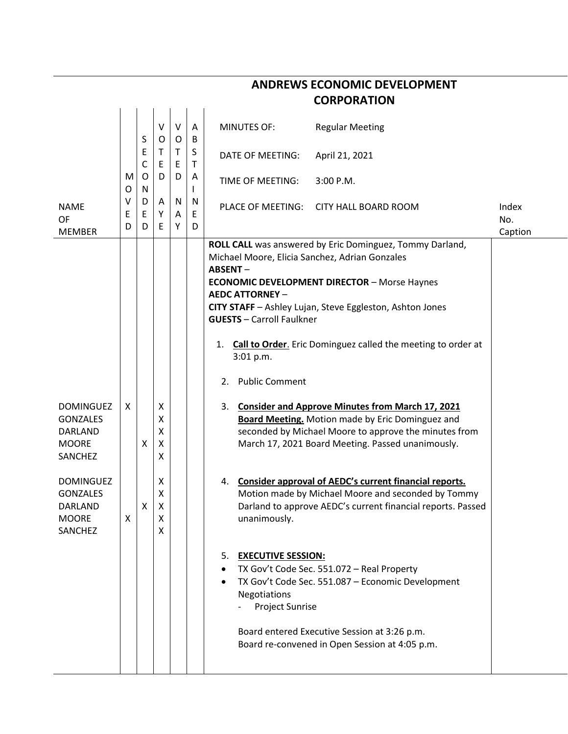|                            | V | $\vee$ | <b>MINUTES OF:</b>                       | <b>Regular Meeting</b>               |                                                                                                                                                                                                                                                                                                                                                                                                                                                                                                                                                                                                                                                                                                                                                                                                                                                                                                                                                                                                          |
|----------------------------|---|--------|------------------------------------------|--------------------------------------|----------------------------------------------------------------------------------------------------------------------------------------------------------------------------------------------------------------------------------------------------------------------------------------------------------------------------------------------------------------------------------------------------------------------------------------------------------------------------------------------------------------------------------------------------------------------------------------------------------------------------------------------------------------------------------------------------------------------------------------------------------------------------------------------------------------------------------------------------------------------------------------------------------------------------------------------------------------------------------------------------------|
| E<br>Т<br>C<br>Ε           |   | Τ<br>E | DATE OF MEETING:                         | April 21, 2021                       |                                                                                                                                                                                                                                                                                                                                                                                                                                                                                                                                                                                                                                                                                                                                                                                                                                                                                                                                                                                                          |
| O<br>D<br>N                |   | D      | TIME OF MEETING:                         | 3:00 P.M.                            |                                                                                                                                                                                                                                                                                                                                                                                                                                                                                                                                                                                                                                                                                                                                                                                                                                                                                                                                                                                                          |
| D<br>Α<br>Ε<br>Υ           |   | N<br>Α | PLACE OF MEETING:                        | <b>CITY HALL BOARD ROOM</b>          | Index<br>No.                                                                                                                                                                                                                                                                                                                                                                                                                                                                                                                                                                                                                                                                                                                                                                                                                                                                                                                                                                                             |
|                            |   |        |                                          |                                      | Caption                                                                                                                                                                                                                                                                                                                                                                                                                                                                                                                                                                                                                                                                                                                                                                                                                                                                                                                                                                                                  |
|                            |   |        | <b>ABSENT-</b><br><b>AEDC ATTORNEY -</b> |                                      |                                                                                                                                                                                                                                                                                                                                                                                                                                                                                                                                                                                                                                                                                                                                                                                                                                                                                                                                                                                                          |
|                            |   |        |                                          |                                      |                                                                                                                                                                                                                                                                                                                                                                                                                                                                                                                                                                                                                                                                                                                                                                                                                                                                                                                                                                                                          |
|                            |   |        | 1.<br>3:01 p.m.                          |                                      |                                                                                                                                                                                                                                                                                                                                                                                                                                                                                                                                                                                                                                                                                                                                                                                                                                                                                                                                                                                                          |
|                            |   |        | <b>Public Comment</b><br>2.              |                                      |                                                                                                                                                                                                                                                                                                                                                                                                                                                                                                                                                                                                                                                                                                                                                                                                                                                                                                                                                                                                          |
| х<br>Χ<br>Χ<br>X<br>Χ<br>X |   |        |                                          |                                      |                                                                                                                                                                                                                                                                                                                                                                                                                                                                                                                                                                                                                                                                                                                                                                                                                                                                                                                                                                                                          |
| х<br>Χ<br>X<br>X<br>Χ<br>X |   |        | 4.<br>unanimously.                       |                                      |                                                                                                                                                                                                                                                                                                                                                                                                                                                                                                                                                                                                                                                                                                                                                                                                                                                                                                                                                                                                          |
|                            |   |        | Negotiations                             |                                      |                                                                                                                                                                                                                                                                                                                                                                                                                                                                                                                                                                                                                                                                                                                                                                                                                                                                                                                                                                                                          |
| S<br>D                     |   | 0<br>Ε | 0<br>Υ                                   | A<br>B<br>S<br>Τ<br>A<br>N<br>E<br>D | ROLL CALL was answered by Eric Dominguez, Tommy Darland,<br>Michael Moore, Elicia Sanchez, Adrian Gonzales<br><b>ECONOMIC DEVELOPMENT DIRECTOR - Morse Haynes</b><br>CITY STAFF - Ashley Lujan, Steve Eggleston, Ashton Jones<br><b>GUESTS</b> - Carroll Faulkner<br><b>Call to Order.</b> Eric Dominguez called the meeting to order at<br>3. Consider and Approve Minutes from March 17, 2021<br><b>Board Meeting.</b> Motion made by Eric Dominguez and<br>seconded by Michael Moore to approve the minutes from<br>March 17, 2021 Board Meeting. Passed unanimously.<br>Consider approval of AEDC's current financial reports.<br>Motion made by Michael Moore and seconded by Tommy<br>Darland to approve AEDC's current financial reports. Passed<br>5. EXECUTIVE SESSION:<br>TX Gov't Code Sec. 551.072 - Real Property<br>TX Gov't Code Sec. 551.087 - Economic Development<br>Project Sunrise<br>Board entered Executive Session at 3:26 p.m.<br>Board re-convened in Open Session at 4:05 p.m. |

## **ANDREWS ECONOMIC DEVELOPMENT**